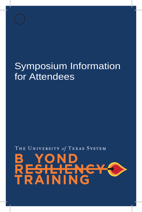## Symposium Information for Attendees

THE UNIVERSITY of TEXAS SYSTEM

## **NING**  $\blacktriangle$  i R.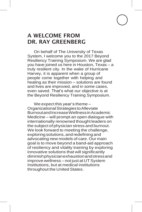## A WELCOME FROM DR. RAY GREENBERG

On behalf of The University of Texas System, I welcome you to the 2017 Beyond Resiliency Training Symposium. We are glad you have joined us here in Houston, Texas – a truly resilient city. In the wake of Hurricane Harvey, it is apparent when a group of people come together with helping and healing as their mission – solutions are found and lives are improved, and in some cases, even saved. That's what our objective is at the Beyond Resiliency Training Symposium.

We expect this year's theme – OrganizationalStrategiestoAlleviate BurnoutandIncreaseWellnessinAcademic Medicine – will prompt an open dialogue with internationally renowned thought leaders on the subject of physician stress and burnout. We look forward to meeting the challenge, exploring solutions,and redefining and advocating new models of care. Our main goal is to move beyond a band-aid approach of resiliency and vitality training by exploring innovative solutions that will significantly diminishphysicianexhaustionandstressand improve wellness – not just at UT System Institutions, but at medical institutions throughout the United States.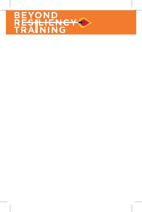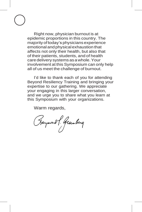Right now, physician burnout is at epidemic proportions in this country. The majority oftoday's physicians experience emotional and physicalexhaustion that affects not only their health, but also that of their patients, students, and of health care delivery systems asawhole.Your involvement at this Symposium can only help all of us meet the challenge of burnout.

I'd like to thank each of you for attending Beyond Resiliency Training and bringing your expertise to our gathering. We appreciate your engaging in this larger conversation, and we urge you to share what you learn at this Symposium with your organizations.

Warm regards,

(Haymond P. Greenberg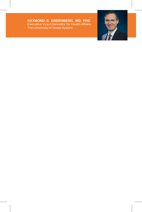**RAYMOND S. GREENBERG, MD, PHD** Executive Vice Chancellor for Health Affairs, The University of Texas System

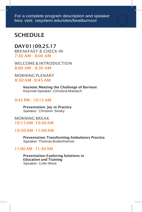## **SCHEDULE**

### DAY01|09.25.17

BREAKFAST & CHECK-IN 7:30 AM - 8:00 AM

WELCOME & INTRODUCTION 8:00 AM - 8:30 AM

MORNING PLENARY 8:30 AM -9:45 AM

> Keynote: Meeting the Challenge of Burnout Keynote Speaker: Christina Maslach

#### 9:45 PM - 10:15 AM

Presentation: Joy in Practice Speaker: Christine Sinsky

#### MORNING BREAK 10:15AM-10:30AM

#### 10:30AM-11:00AM

Presentation: Transforming Ambulatory Practice Speaker: Thomas Bodenheimer

#### 11:00 AM - 11:30 AM

Presentation: Exploring Solutions in Education and Training Speaker: Colin West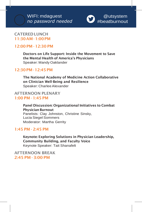

#### CATEREDLUNCH 11:30AM-1:00PM

#### 12:00 PM - 12:30 PM

Doctors on Life Support: Inside the Movement to Save the Mental Health of America's Physicians Speaker: Mandy Oaklander

#### 12:30PM-12:45PM

The National Academy of Medicine Action Collaborative on Clinician Well-Being and Resilience Speaker: Charlee Alexander

#### AFTERNOON PLENARY 1:00 PM - 1:45 PM

Panel Discussion: Organizational Initiatives to Combat Physician Burnout Panelists: Clay Johnston, Christine Sinsky, Lucia Siegel Sommers Moderator: Martha Gerrity

#### 1:45 PM - 2:45 PM

Keynote: Exploring Solutions in Physician Leadership, Community Building, and Faculty Voice Keynote Speaker: Tait Shanafelt

AFTERNOON BREAK 2:45 PM - 3:00 PM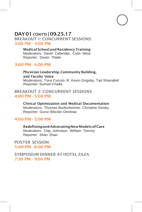#### DAY01 <sup>C</sup>ONT'D | 09.25.17 BREAKOUT 1: CONCURRENT SESSIONS 3:00 PM - 4:00 PM

Medical School and Residency Training Moderators: David Callender, Colin West Reporter: Dwain Thiele

#### 3:00 PM - 4:00 PM

Physician Leadership, Community Building, and Faculty Voice Moderators: Tony Cucolo, R. Kevin Grigsby, Tait Shanafelt Reporter: Suman Challa

#### BREAKOUT 2: CONCURRENT SESSIONS 4:00 PM - 5:00 PM

Clinical Optimization and Medical Documentation Moderators: Thomas Bodenheimer, Christine Sinsky Reporter: Gurur Biliciler-Denktas

#### 4:00 PM - 5:00 PM

Redefining and Advocating New Models of Care Moderators: Clay Johnston, William Tierney Reporter: Shan Zhao

POSTER SESSION 5:00 PM - 6:00 PM

SYMPOSIUM DINNER AT HOTEL ZAZA 7:30 PM - 9:00 PM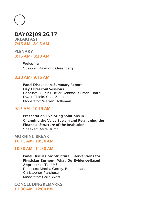### DAY02|09.26.17 BREAKFAST

7:45 AM - 8:15 AM

PLENARY 8:15 AM - 8:30 AM

> Welcome Speaker: Raymond Greenberg

#### 8:30 AM - 9:15 AM

Panel Discussion: Summary Report Day 1 Breakout Sessions Panelists: Gurur Biliciler-Denktas, Suman Challa, Dwain Thiele, Shan Zhao Moderator: Warren Holleman

#### 9:15 AM - 10:15 AM

Presentation: Exploring Solutions in Changing the Value System and Re-aligning the Financial Structure of the Institution Speaker: Darrell Kirch

#### MORNING BREAK 10:15AM-10:30AM

#### 10:30 AM - 11:30 AM

Panel Discussion: Structural Interventions for Physician Burnout: What Do Evidence-Based Approaches Tell Us? Panelists: Martha Gerrity, Brian Lucas, Christopher Parshuram Moderator: Colin West

**CONCLUDINGREMARKS** 11:30AM-12:00PM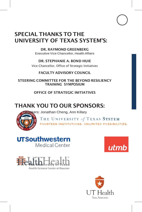## SPECIAL THANKS TO THE UNIVERSITY OF TEXAS SYSTEM'S:

DR. RAYMOND GREENBERG Executive Vice Chancellor, Health Affairs

DR. STEPHANIE A. BOND HUIE Vice Chancellor, Office of Strategic Initiatives

FACULTY ADVISORY COUNCIL

STEERING COMMITTEE FOR THE BEYOND RESILIENCY TRAINING SYMPOSIUM

OFFICE OF STRATEGIC INITIATIVES

## THANK YOU TO OUR SPONSORS:

kers: Jonathan Cheng, Ann Killary



THE UNIVERSITY of TEXAS SYSTEM FOURTEEN INSTITUTIONS. UNLIMITED POSSIBILITIES.

## **UTSouthwestern**

Medical Center





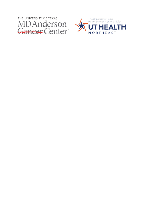

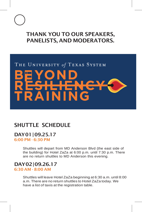## THANK YOU TO OUR SPEAKERS, PANELISTS, AND MODERATORS.

# THE UNIVERSITY of TEXAS SYSTEM  $\blacktriangle$ N

## SHUTTLE SCHEDULE

## DAY01|09.25.17

6:00 PM - 6:30 PM

Shuttles will depart from MD Anderson Blvd (the east side of the building) for Hotel ZaZa at 6:00 p.m. until 7:30 p.m. There are no return shuttles to MD Anderson this evening.

#### DAY02|09.26.17 6:30 AM - 8:00 AM

Shuttles will leave Hotel ZaZa beginning at 6:30 a.m. until 8:00 a.m. There are no return shuttles to Hotel ZaZa today. We have a list of taxis at the registration table.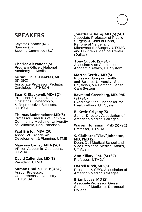## **SPEAKERS**

Keynote Speaker (KS) Speaker (S) Steering Committee (SC)

#### Charlee Alexander (S)

Program Officer, National Academy of Medicine

#### Gurur Biliciler-Denktas, MD (S) (SC)

Associate Professor, Pediatric Cardiology, UTHSCH

#### SeanC.Blackwell,MD(SC)

Professor & Chair, Dept of Obstetrics, Gynecology, & Reproductive Sciences, UTHSCH

#### ThomasBodenheimer,MD(S)

Professor Emeritus of Family & Community Medicine, University of California, San Francisco

#### Paul Bristol, MBA (SC)

Assoc. VP, Academic Development & Planning, UTMB

#### Maureen Cagley, MBA (SC)

VP for Academic Operations, UTMDA

#### David Callender, MD (S) President, UTMB

#### SumanChalla,BDS(S)(SC)

Assoc. Professor, Comprehensive Dentistry, UTHSCSA

### JonathanCheng,MD(S)(SC)

Associate Professor of Plastic Surgery & Chief of Hand, Peripheral Nerve, and Microvascular Surgery, UTSMC<br>and Children's Medical Center (Dallas)

#### TonyCucolo(S)(SC)

Associate Vice Chancellor, Academic Affairs, UT System

#### Martha Gerrity, MD (S)

Professor, Oregon Health and Science University; Staff Physician, VA Portland Health Care System

#### Raymond Greenberg, MD, PhD (S) (SC)

Executive Vice Chancellor for Health Affairs, UT System

#### R. Kevin Grigsby (S)

Senior Director, Association of American Medical Colleges

#### Warren Holleman, PhD (S) (SC) Professor, UTMDA

#### S. Claiborne"Clay"Johnston, MD, PhD (S)

Dean, Dell Medical School and Vice President, Medical Affairs, UT Austin

#### Ann Killary, PhD (S) (SC) Professor, UTMDA

Darrell Kirch, MD (S)

President & CEO, Association of American Medical Colleges

#### Brian Lucas, MD (S)

Associate Professor, Geisel School of Medicine, Dartmouth College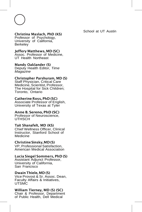#### Christina Maslach, PhD (KS)

Professor of Psychology, University of California, Berkeley

#### Jeffery Matthews, MD (SC)

Assoc. Professor of Medicine, UT Health Northeast

#### Mandy Oaklander (S)

Deputy Health Editor, *Time Magazine*

#### Christopher Parshuram, MD (S)

Staff Physician, Critical Care Medicine, Scientist, Professor, The Hospital for Sick Children; Toronto, Ontario

#### Catherine Ross, PhD (SC)

Associate Professor of English, University of Texas at Tyler

#### Anne B. Sereno, PhD (SC)

Professor of Neuroscience, UTHSCH

#### Tait Shanafelt, MD (KS)

Chief Wellness Officer, Clinical Instructor, Stanford School of Medicine

#### ChristineSinsky,MD(S)

VP, Professional Satisfaction, American Medical Association

#### Lucia Siegel Sommers, PhD (S)

Assistant Adjunct Professor, University of California, San Francisco

#### Dwain Thiele, MD (S)

Vice Provost & Sr. Assoc. Dean, Faculty Affairs & Initiatives, **UTSMC** 

#### William Tierney, MD (S) (SC)

Chair & Professor, Department of Public Health, Dell Medical

School at UT Austin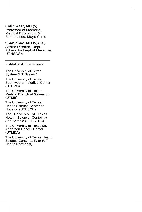#### Colin West, MD (S)

Professor of Medicine, Medical Education, & Biostatistics, Mayo Clinic

#### Shan Zhao, MD (S) (SC)

Senior Director, Dept. Admin. for Dept of Medicine, UTHSCSA

InstitutionAbbreviations:

The University of Texas System (UT System)

The University of Texas Southwestern Medical Center (UTSMC)

The University of Texas Medical Branch at Galveston (UTMB)

The University of Texas Health Science Center at Houston (UTHSCH)

The University of Texas Health Science Center at San Antonio (UTHSCSA)

The University of Texas MD Anderson Cancer Center (UTMDA)

The University of Texas Health Science Center at Tyler (UT Health Northeast)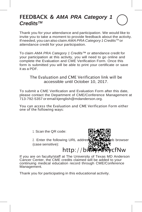## FEEDBACK & *AMA PRA Category 1 CreditsTM*

Thank you for your attendance and participation. We would like to invite you to take a moment to provide feedback about the activity. If needed, you can also claim *AMA PRA Category 1 CreditsTM* or attendance credit for your participation.

To claim *AMA PRA Category 1 Credits™* or attendance credit for your participation at this activity, you will need to go online and complete the Evaluation and CME Verification Form. Once this form is submitted you will be able to print your certificate or save it as a PDF.

#### The Evaluation and CME Verification link will be accessible until October 10, 2017.

To submit a CME Verification and Evaluation Form after this date, please contact the Department of CME/Conference Management at 713-792-5357 or email [kjenglish@mdanderson.org.](mailto:kjenglish@mdanderson.org)

You can access the Evaluation and CME Verification Form either one of the following ways:

1. Scan the QR code:



If you are on faculty/staff at The University of Texas MD Anderson Cancer Center, the CME credits claimed will be added to your continuing medical education record through CME/Conference Management.

Thank you for participating in this educational activity.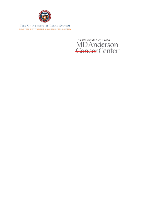

THE UNIVERSITY of TEXAS SYSTEM FOURTEEN INSTITUTIONS, UNLIMITED POSSIBILITIES

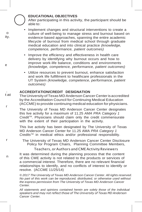#### **EDUCATIONAL OBJECTIVES**

After participating in this activity, the participant should be able to:

- Implement changes and structural interventions to create a culture of well-being to manage stress and burnout based on evidence-based approaches, spanning the entire academic lifecycle of burnout from medical school through graduate medical education and into clinical practice *(knowledge, competence, performance, patient outcomes)*
- Improve the efficiency and effectiveness in health care delivery by identifying why burnout occurs and how to improve work-life balance, conditions and environments *(knowledge, competence, performance, patient outcomes)*
- Utilize resources to prevent burnout, enhance satisfaction and work life fulfillment to healthcare professionals in the UT System *(knowledge, competence, performance, patient outcomes)*

#### , **ACCREDITATION/CREDIT DESIGNATION**

t at r The University of Texas MD Anderson Cancer Centeris accredited by the Accreditation Council for Continuing Medical Education (ACCME) to provide continuing medical education for physicians.

> The University of Texas MD Anderson Cancer Center designates this live activity for a maximum of 11.25 *AMA PRA Category 1 CreditTM* . Physicians should claim only the credit commensurate with the extent of their participation in the activity.

This live activity has been designated by The University of Texas MD Anderson Cancer Center for 11.25 AMA *PRA Category 1 CreditsTM* in medical ethics and/or professional responsibility.

The University of Texas MD Anderson Cancer Center Disclosure Policy for Program Chairs, Planning Committee Members,

Teachers, orAuthors and CMEActivity Reviewers

It was determined during the planning process that the content of this CME activity is not related to the products or services of a commercial interest. Therefore, there are no relevant financial relationships to identify, and no conflicts of interest to identify or resolve. (ACCME 11/25/14)

*© 2017 The University of Texas MD Anderson Cancer Center. All rights reserved. No part of this work can be reproduced, distributed, or otherwise used without the express permission from The University of Texas MD Anderson Cancer Center.*

*All statements and opinions contained herein are solely those of the individual speakers and may not reflect those of The University of Texas MD Anderson Cancer Center.*

o ity.

e

r

n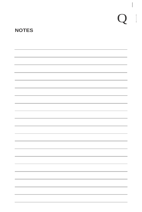# $Q$

 $\overline{\phantom{a}}$ 

## **NOTES**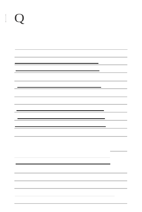| $\mathbf{O}$ |  |   |                          |
|--------------|--|---|--------------------------|
|              |  |   |                          |
|              |  |   |                          |
|              |  | = |                          |
|              |  |   |                          |
|              |  |   |                          |
|              |  |   | <b>Contract Contract</b> |
|              |  |   | ÷                        |
|              |  |   |                          |